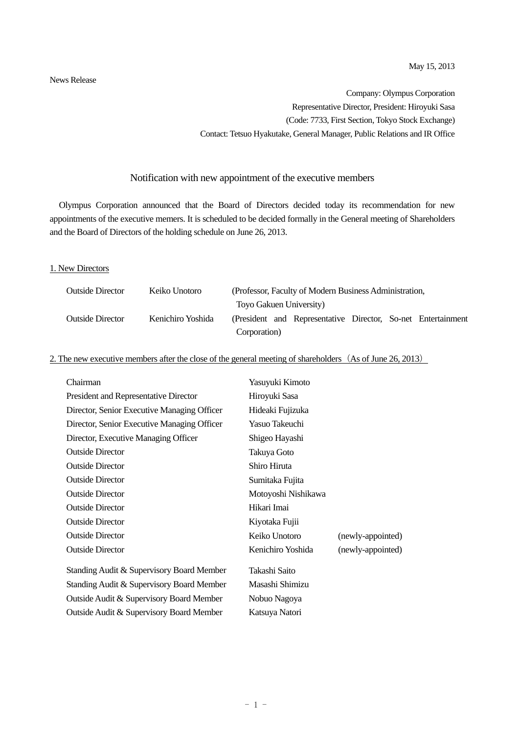News Release

Company: Olympus Corporation Representative Director, President: Hiroyuki Sasa (Code: 7733, First Section, Tokyo Stock Exchange) Contact: Tetsuo Hyakutake, General Manager, Public Relations and IR Office

### Notification with new appointment of the executive members

Olympus Corporation announced that the Board of Directors decided today its recommendation for new appointments of the executive memers. It is scheduled to be decided formally in the General meeting of Shareholders and the Board of Directors of the holding schedule on June 26, 2013.

#### 1. New Directors

| <b>Outside Director</b> | Keiko Unotoro     |              | (Professor, Faculty of Modern Business Administration,       |  |  |
|-------------------------|-------------------|--------------|--------------------------------------------------------------|--|--|
|                         |                   |              | Toyo Gakuen University)                                      |  |  |
| <b>Outside Director</b> | Kenichiro Yoshida |              | (President and Representative Director, So-net Entertainment |  |  |
|                         |                   | Corporation) |                                                              |  |  |

### 2. The new executive members after the close of the general meeting of shareholders (As of June 26, 2013)

| Chairman                                    | Yasuyuki Kimoto     |                   |
|---------------------------------------------|---------------------|-------------------|
| President and Representative Director       | Hiroyuki Sasa       |                   |
| Director, Senior Executive Managing Officer | Hideaki Fujizuka    |                   |
| Director, Senior Executive Managing Officer | Yasuo Takeuchi      |                   |
| Director, Executive Managing Officer        | Shigeo Hayashi      |                   |
| <b>Outside Director</b>                     | Takuya Goto         |                   |
| <b>Outside Director</b>                     | Shiro Hiruta        |                   |
| <b>Outside Director</b>                     | Sumitaka Fujita     |                   |
| <b>Outside Director</b>                     | Motoyoshi Nishikawa |                   |
| <b>Outside Director</b>                     | Hikari Imai         |                   |
| <b>Outside Director</b>                     | Kiyotaka Fujii      |                   |
| <b>Outside Director</b>                     | Keiko Unotoro       | (newly-appointed) |
| <b>Outside Director</b>                     | Kenichiro Yoshida   | (newly-appointed) |
| Standing Audit & Supervisory Board Member   | Takashi Saito       |                   |
| Standing Audit & Supervisory Board Member   | Masashi Shimizu     |                   |
| Outside Audit & Supervisory Board Member    | Nobuo Nagoya        |                   |
| Outside Audit & Supervisory Board Member    | Katsuya Natori      |                   |